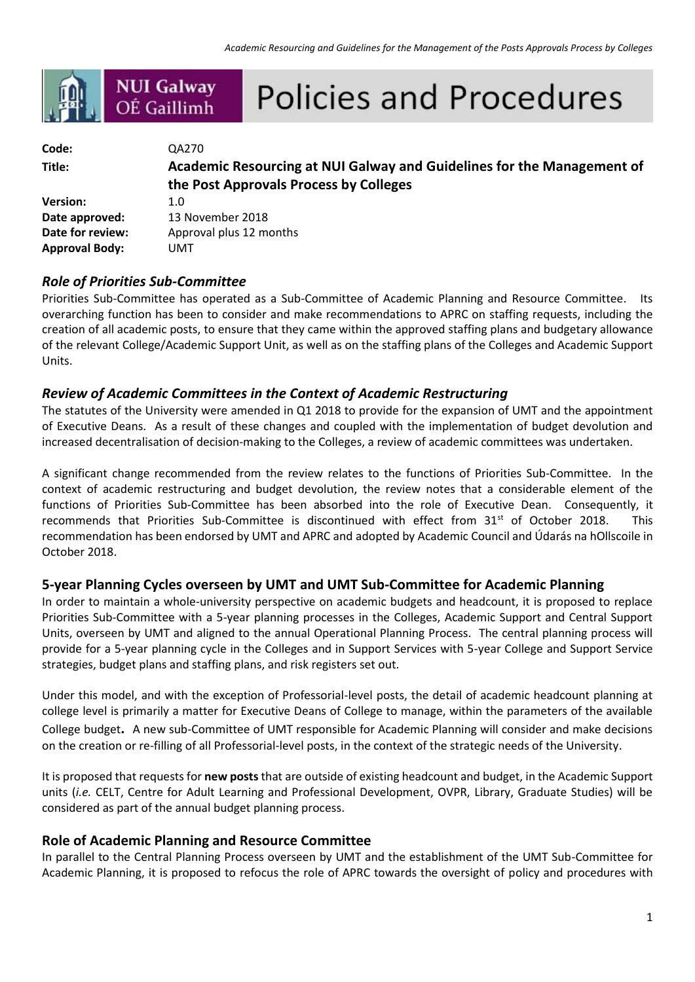|                  | <b>NUI Galway</b><br>OÉ Gaillimh | <b>Policies and Procedures</b>                                         |  |
|------------------|----------------------------------|------------------------------------------------------------------------|--|
|                  |                                  |                                                                        |  |
| Code:            | QA270                            |                                                                        |  |
| Title:           |                                  | Academic Resourcing at NUI Galway and Guidelines for the Management of |  |
|                  |                                  | the Post Approvals Process by Colleges                                 |  |
| <b>Version:</b>  | 1.0                              |                                                                        |  |
| Date approved:   |                                  | 13 November 2018                                                       |  |
| Date for review: |                                  | Approval plus 12 months                                                |  |

## *Role of Priorities Sub-Committee*

**Approval Body:** UMT

Priorities Sub-Committee has operated as a Sub-Committee of Academic Planning and Resource Committee. Its overarching function has been to consider and make recommendations to APRC on staffing requests, including the creation of all academic posts, to ensure that they came within the approved staffing plans and budgetary allowance of the relevant College/Academic Support Unit, as well as on the staffing plans of the Colleges and Academic Support Units.

### *Review of Academic Committees in the Context of Academic Restructuring*

The statutes of the University were amended in Q1 2018 to provide for the expansion of UMT and the appointment of Executive Deans. As a result of these changes and coupled with the implementation of budget devolution and increased decentralisation of decision-making to the Colleges, a review of academic committees was undertaken.

A significant change recommended from the review relates to the functions of Priorities Sub-Committee. In the context of academic restructuring and budget devolution, the review notes that a considerable element of the functions of Priorities Sub-Committee has been absorbed into the role of Executive Dean. Consequently, it recommends that Priorities Sub-Committee is discontinued with effect from 31<sup>st</sup> of October 2018. This recommendation has been endorsed by UMT and APRC and adopted by Academic Council and Údarás na hOllscoile in October 2018.

#### **5-year Planning Cycles overseen by UMT and UMT Sub-Committee for Academic Planning**

In order to maintain a whole-university perspective on academic budgets and headcount, it is proposed to replace Priorities Sub-Committee with a 5-year planning processes in the Colleges, Academic Support and Central Support Units, overseen by UMT and aligned to the annual Operational Planning Process. The central planning process will provide for a 5-year planning cycle in the Colleges and in Support Services with 5-year College and Support Service strategies, budget plans and staffing plans, and risk registers set out.

Under this model, and with the exception of Professorial-level posts, the detail of academic headcount planning at college level is primarily a matter for Executive Deans of College to manage, within the parameters of the available College budget**.** A new sub-Committee of UMT responsible for Academic Planning will consider and make decisions on the creation or re-filling of all Professorial-level posts, in the context of the strategic needs of the University.

It is proposed that requests for **new posts** that are outside of existing headcount and budget, in the Academic Support units (*i.e.* CELT, Centre for Adult Learning and Professional Development, OVPR, Library, Graduate Studies) will be considered as part of the annual budget planning process.

#### **Role of Academic Planning and Resource Committee**

In parallel to the Central Planning Process overseen by UMT and the establishment of the UMT Sub-Committee for Academic Planning, it is proposed to refocus the role of APRC towards the oversight of policy and procedures with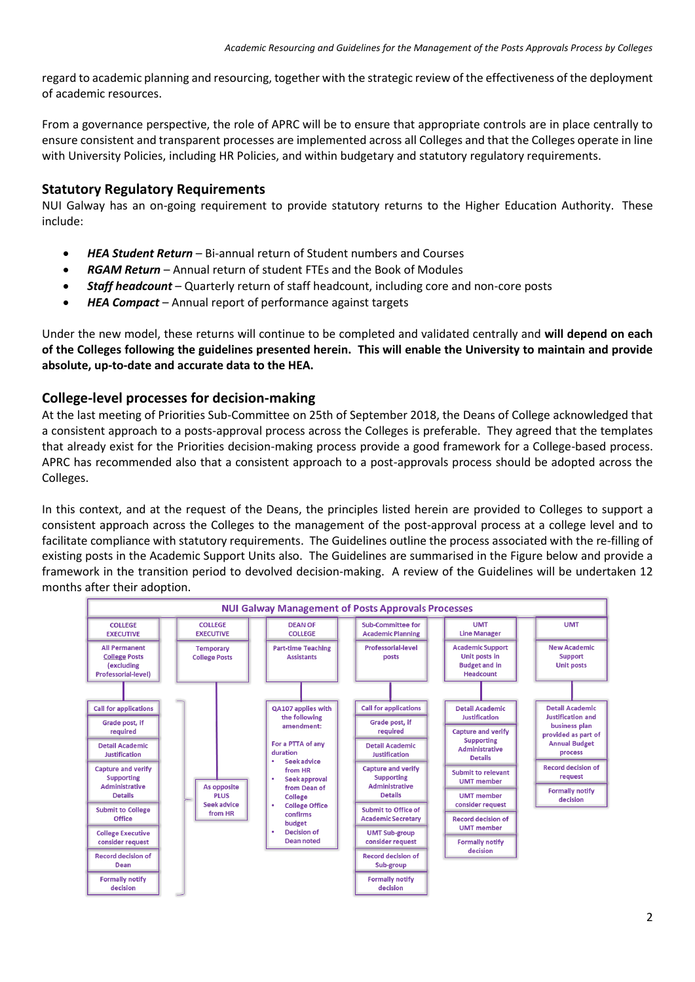regard to academic planning and resourcing, together with the strategic review of the effectiveness of the deployment of academic resources.

From a governance perspective, the role of APRC will be to ensure that appropriate controls are in place centrally to ensure consistent and transparent processes are implemented across all Colleges and that the Colleges operate in line with University Policies, including HR Policies, and within budgetary and statutory regulatory requirements.

#### **Statutory Regulatory Requirements**

NUI Galway has an on-going requirement to provide statutory returns to the Higher Education Authority. These include:

- *HEA Student Return* Bi-annual return of Student numbers and Courses
- *RGAM Return* Annual return of student FTEs and the Book of Modules
- *Staff headcount*  Quarterly return of staff headcount, including core and non-core posts
- *HEA Compact* Annual report of performance against targets

Under the new model, these returns will continue to be completed and validated centrally and **will depend on each of the Colleges following the guidelines presented herein. This will enable the University to maintain and provide absolute, up-to-date and accurate data to the HEA.**

## **College-level processes for decision-making**

At the last meeting of Priorities Sub-Committee on 25th of September 2018, the Deans of College acknowledged that a consistent approach to a posts-approval process across the Colleges is preferable. They agreed that the templates that already exist for the Priorities decision-making process provide a good framework for a College-based process. APRC has recommended also that a consistent approach to a post-approvals process should be adopted across the Colleges.

In this context, and at the request of the Deans, the principles listed herein are provided to Colleges to support a consistent approach across the Colleges to the management of the post-approval process at a college level and to facilitate compliance with statutory requirements. The Guidelines outline the process associated with the re-filling of existing posts in the Academic Support Units also. The Guidelines are summarised in the Figure below and provide a framework in the transition period to devolved decision-making. A review of the Guidelines will be undertaken 12 months after their adoption.

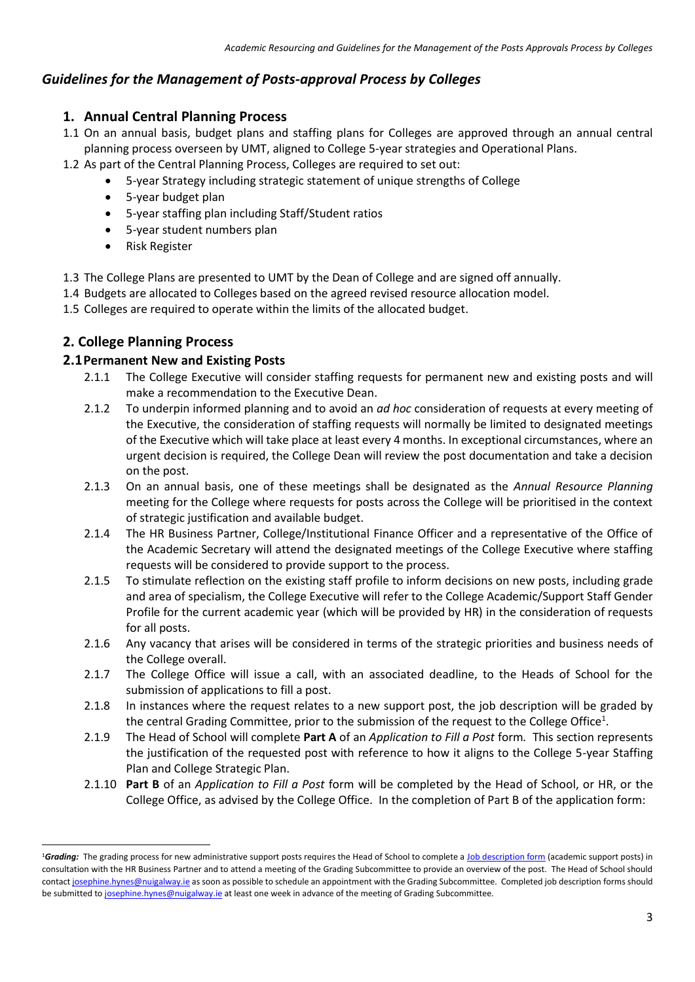# *Guidelines for the Management of Posts-approval Process by Colleges*

## **1. Annual Central Planning Process**

- 1.1 On an annual basis, budget plans and staffing plans for Colleges are approved through an annual central planning process overseen by UMT, aligned to College 5-year strategies and Operational Plans.
- 1.2 As part of the Central Planning Process, Colleges are required to set out:
	- 5-year Strategy including strategic statement of unique strengths of College
	- 5-year budget plan
	- 5-year staffing plan including Staff/Student ratios
	- 5-year student numbers plan
	- Risk Register
- 1.3 The College Plans are presented to UMT by the Dean of College and are signed off annually.
- 1.4 Budgets are allocated to Colleges based on the agreed revised resource allocation model.
- 1.5 Colleges are required to operate within the limits of the allocated budget.

## **2. College Planning Process**

**.** 

### **2.1Permanent New and Existing Posts**

- 2.1.1 The College Executive will consider staffing requests for permanent new and existing posts and will make a recommendation to the Executive Dean.
- 2.1.2 To underpin informed planning and to avoid an *ad hoc* consideration of requests at every meeting of the Executive, the consideration of staffing requests will normally be limited to designated meetings of the Executive which will take place at least every 4 months. In exceptional circumstances, where an urgent decision is required, the College Dean will review the post documentation and take a decision on the post.
- 2.1.3 On an annual basis, one of these meetings shall be designated as the *Annual Resource Planning*  meeting for the College where requests for posts across the College will be prioritised in the context of strategic justification and available budget.
- 2.1.4 The HR Business Partner, College/Institutional Finance Officer and a representative of the Office of the Academic Secretary will attend the designated meetings of the College Executive where staffing requests will be considered to provide support to the process.
- 2.1.5 To stimulate reflection on the existing staff profile to inform decisions on new posts, including grade and area of specialism, the College Executive will refer to the College Academic/Support Staff Gender Profile for the current academic year (which will be provided by HR) in the consideration of requests for all posts.
- 2.1.6 Any vacancy that arises will be considered in terms of the strategic priorities and business needs of the College overall.
- 2.1.7 The College Office will issue a call, with an associated deadline, to the Heads of School for the submission of applications to fill a post.
- 2.1.8 In instances where the request relates to a new support post, the job description will be graded by the central Grading Committee, prior to the submission of the request to the College Office<sup>1</sup>.
- 2.1.9 The Head of School will complete **Part A** of an *Application to Fill a Post* form*.* This section represents the justification of the requested post with reference to how it aligns to the College 5-year Staffing Plan and College Strategic Plan.
- 2.1.10 **Part B** of an *Application to Fill a Post* form will be completed by the Head of School, or HR, or the College Office, as advised by the College Office. In the completion of Part B of the application form:

<sup>&</sup>lt;sup>1</sup>Grading: The grading process for new administrative support posts requires the Head of School to complete [a Job description form](http://www.nuigalway.ie/human-resources/formanagers/forms/) (academic support posts) in consultation with the HR Business Partner and to attend a meeting of the Grading Subcommittee to provide an overview of the post. The Head of School should contac[t josephine.hynes@nuigalway.ie](mailto:josephine.hynes@nuigalway.ie) as soon as possible to schedule an appointment with the Grading Subcommittee. Completed job description forms should be submitted to [josephine.hynes@nuigalway.ie](mailto:josephine.hynes@nuigalway.ie) at least one week in advance of the meeting of Grading Subcommittee.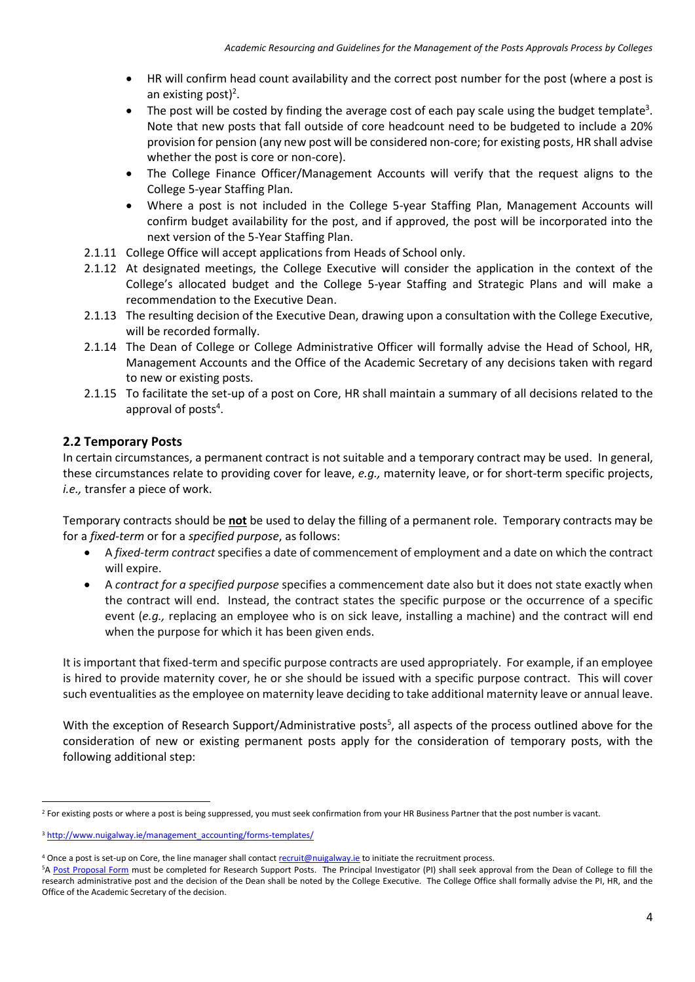- HR will confirm head count availability and the correct post number for the post (where a post is an existing post)<sup>2</sup>.
- $\bullet$  The post will be costed by finding the average cost of each pay scale using the budget template<sup>3</sup>. Note that new posts that fall outside of core headcount need to be budgeted to include a 20% provision for pension (any new post will be considered non-core; for existing posts, HR shall advise whether the post is core or non-core).
- The College Finance Officer/Management Accounts will verify that the request aligns to the College 5-year Staffing Plan.
- Where a post is not included in the College 5-year Staffing Plan, Management Accounts will confirm budget availability for the post, and if approved, the post will be incorporated into the next version of the 5-Year Staffing Plan.
- 2.1.11 College Office will accept applications from Heads of School only.
- 2.1.12 At designated meetings, the College Executive will consider the application in the context of the College's allocated budget and the College 5-year Staffing and Strategic Plans and will make a recommendation to the Executive Dean.
- 2.1.13 The resulting decision of the Executive Dean, drawing upon a consultation with the College Executive, will be recorded formally.
- 2.1.14 The Dean of College or College Administrative Officer will formally advise the Head of School, HR, Management Accounts and the Office of the Academic Secretary of any decisions taken with regard to new or existing posts.
- 2.1.15 To facilitate the set-up of a post on Core, HR shall maintain a summary of all decisions related to the approval of posts<sup>4</sup>.

### **2.2 Temporary Posts**

In certain circumstances, a permanent contract is not suitable and a temporary contract may be used. In general, these circumstances relate to providing cover for leave, *e.g.,* maternity leave, or for short-term specific projects, *i.e.,* transfer a piece of work.

Temporary contracts should be **not** be used to delay the filling of a permanent role. Temporary contracts may be for a *fixed-term* or for a *specified purpose*, as follows:

- A *fixed-term contract* specifies a date of commencement of employment and a date on which the contract will expire.
- A *contract for a specified purpose* specifies a commencement date also but it does not state exactly when the contract will end. Instead, the contract states the specific purpose or the occurrence of a specific event (*e.g.,* replacing an employee who is on sick leave, installing a machine) and the contract will end when the purpose for which it has been given ends.

It is important that fixed-term and specific purpose contracts are used appropriately. For example, if an employee is hired to provide maternity cover, he or she should be issued with a specific purpose contract. This will cover such eventualities as the employee on maternity leave deciding to take additional maternity leave or annual leave.

With the exception of Research Support/Administrative posts<sup>5</sup>, all aspects of the process outlined above for the consideration of new or existing permanent posts apply for the consideration of temporary posts, with the following additional step:

**.** 

<sup>&</sup>lt;sup>2</sup> For existing posts or where a post is being suppressed, you must seek confirmation from your HR Business Partner that the post number is vacant.

<sup>&</sup>lt;sup>3</sup> [http://www.nuigalway.ie/management\\_accounting/forms-templates/](http://www.nuigalway.ie/management_accounting/forms-templates/)

<sup>&</sup>lt;sup>4</sup> Once a post is set-up on Core, the line manager shall contac[t recruit@nuigalway.ie](mailto:recruit@nuigalway.ie) to initiate the recruitment process.

<sup>5</sup>[A Post Proposal Form](http://www.nuigalway.ie/research-accounting/forms.html) must be completed for Research Support Posts. The Principal Investigator (PI) shall seek approval from the Dean of College to fill the research administrative post and the decision of the Dean shall be noted by the College Executive. The College Office shall formally advise the PI, HR, and the Office of the Academic Secretary of the decision.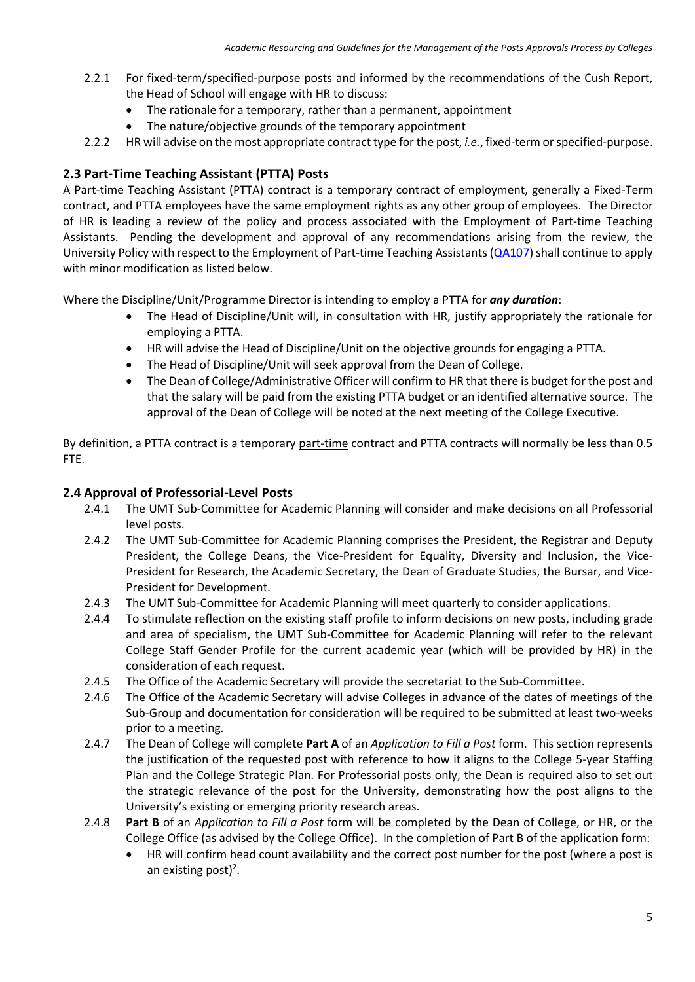- 2.2.1 For fixed-term/specified-purpose posts and informed by the recommendations of the Cush Report, the Head of School will engage with HR to discuss:
	- The rationale for a temporary, rather than a permanent, appointment
	- The nature/objective grounds of the temporary appointment
- 2.2.2 HR will advise on the most appropriate contract type for the post, *i.e.*, fixed-term or specified-purpose.

## **2.3 Part-Time Teaching Assistant (PTTA) Posts**

A Part-time Teaching Assistant (PTTA) contract is a temporary contract of employment, generally a Fixed-Term contract, and PTTA employees have the same employment rights as any other group of employees. The Director of HR is leading a review of the policy and process associated with the Employment of Part-time Teaching Assistants. Pending the development and approval of any recommendations arising from the review, the University Policy with respect to the Employment of Part-time Teaching Assistants [\(QA107\)](http://www.nuigalway.ie/media/humanresources/documents/policiesandprocedures/QA107-Employment-of-Part-Time-Teaching-Assistants.pdf) shall continue to apply with minor modification as listed below.

Where the Discipline/Unit/Programme Director is intending to employ a PTTA for *any duration*:

- The Head of Discipline/Unit will, in consultation with HR, justify appropriately the rationale for employing a PTTA.
- HR will advise the Head of Discipline/Unit on the objective grounds for engaging a PTTA.
- The Head of Discipline/Unit will seek approval from the Dean of College.
- The Dean of College/Administrative Officer will confirm to HR that there is budget for the post and that the salary will be paid from the existing PTTA budget or an identified alternative source. The approval of the Dean of College will be noted at the next meeting of the College Executive.

By definition, a PTTA contract is a temporary part-time contract and PTTA contracts will normally be less than 0.5 FTE.

#### **2.4 Approval of Professorial-Level Posts**

- 2.4.1 The UMT Sub-Committee for Academic Planning will consider and make decisions on all Professorial level posts.
- 2.4.2 The UMT Sub-Committee for Academic Planning comprises the President, the Registrar and Deputy President, the College Deans, the Vice-President for Equality, Diversity and Inclusion, the Vice-President for Research, the Academic Secretary, the Dean of Graduate Studies, the Bursar, and Vice-President for Development.
- 2.4.3 The UMT Sub-Committee for Academic Planning will meet quarterly to consider applications.
- 2.4.4 To stimulate reflection on the existing staff profile to inform decisions on new posts, including grade and area of specialism, the UMT Sub-Committee for Academic Planning will refer to the relevant College Staff Gender Profile for the current academic year (which will be provided by HR) in the consideration of each request.
- 2.4.5 The Office of the Academic Secretary will provide the secretariat to the Sub-Committee.
- 2.4.6 The Office of the Academic Secretary will advise Colleges in advance of the dates of meetings of the Sub-Group and documentation for consideration will be required to be submitted at least two-weeks prior to a meeting.
- 2.4.7 The Dean of College will complete **Part A** of an *Application to Fill a Post* form. This section represents the justification of the requested post with reference to how it aligns to the College 5-year Staffing Plan and the College Strategic Plan. For Professorial posts only, the Dean is required also to set out the strategic relevance of the post for the University, demonstrating how the post aligns to the University's existing or emerging priority research areas.
- 2.4.8 **Part B** of an *Application to Fill a Post* form will be completed by the Dean of College, or HR, or the College Office (as advised by the College Office). In the completion of Part B of the application form:
	- HR will confirm head count availability and the correct post number for the post (where a post is an existing post)<sup>2</sup>.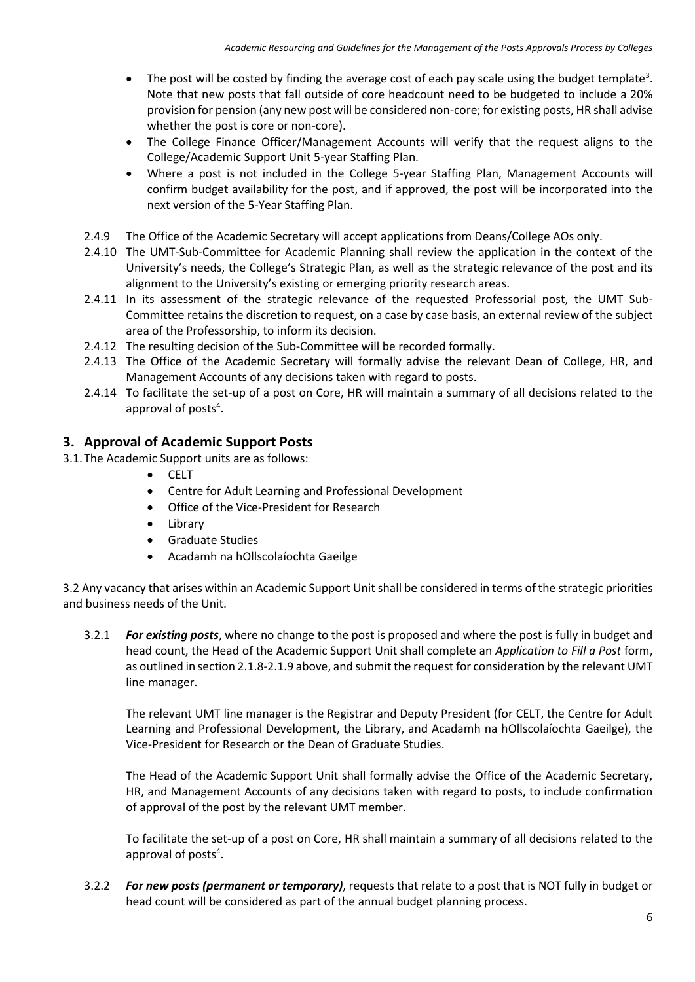- $\bullet$  The post will be costed by finding the average cost of each pay scale using the budget template<sup>3</sup>. Note that new posts that fall outside of core headcount need to be budgeted to include a 20% provision for pension (any new post will be considered non-core; for existing posts, HR shall advise whether the post is core or non-core).
- The College Finance Officer/Management Accounts will verify that the request aligns to the College/Academic Support Unit 5-year Staffing Plan.
- Where a post is not included in the College 5-year Staffing Plan, Management Accounts will confirm budget availability for the post, and if approved, the post will be incorporated into the next version of the 5-Year Staffing Plan.
- 2.4.9 The Office of the Academic Secretary will accept applications from Deans/College AOs only.
- 2.4.10 The UMT-Sub-Committee for Academic Planning shall review the application in the context of the University's needs, the College's Strategic Plan, as well as the strategic relevance of the post and its alignment to the University's existing or emerging priority research areas.
- 2.4.11 In its assessment of the strategic relevance of the requested Professorial post, the UMT Sub-Committee retains the discretion to request, on a case by case basis, an external review of the subject area of the Professorship, to inform its decision.
- 2.4.12 The resulting decision of the Sub-Committee will be recorded formally.
- 2.4.13 The Office of the Academic Secretary will formally advise the relevant Dean of College, HR, and Management Accounts of any decisions taken with regard to posts.
- 2.4.14 To facilitate the set-up of a post on Core, HR will maintain a summary of all decisions related to the approval of posts<sup>4</sup>.

### **3. Approval of Academic Support Posts**

- 3.1.The Academic Support units are as follows:
	- CELT
	- Centre for Adult Learning and Professional Development
	- Office of the Vice-President for Research
	- Library
	- Graduate Studies
	- Acadamh na hOllscolaíochta Gaeilge

3.2 Any vacancy that arises within an Academic Support Unit shall be considered in terms of the strategic priorities and business needs of the Unit.

3.2.1 *For existing posts*, where no change to the post is proposed and where the post is fully in budget and head count, the Head of the Academic Support Unit shall complete an *Application to Fill a Post* form, as outlined in section 2.1.8-2.1.9 above, and submit the request for consideration by the relevant UMT line manager.

The relevant UMT line manager is the Registrar and Deputy President (for CELT, the Centre for Adult Learning and Professional Development, the Library, and Acadamh na hOllscolaíochta Gaeilge), the Vice-President for Research or the Dean of Graduate Studies.

The Head of the Academic Support Unit shall formally advise the Office of the Academic Secretary, HR, and Management Accounts of any decisions taken with regard to posts, to include confirmation of approval of the post by the relevant UMT member.

To facilitate the set-up of a post on Core, HR shall maintain a summary of all decisions related to the approval of posts<sup>4</sup>.

3.2.2 *For new posts (permanent or temporary)*, requests that relate to a post that is NOT fully in budget or head count will be considered as part of the annual budget planning process.